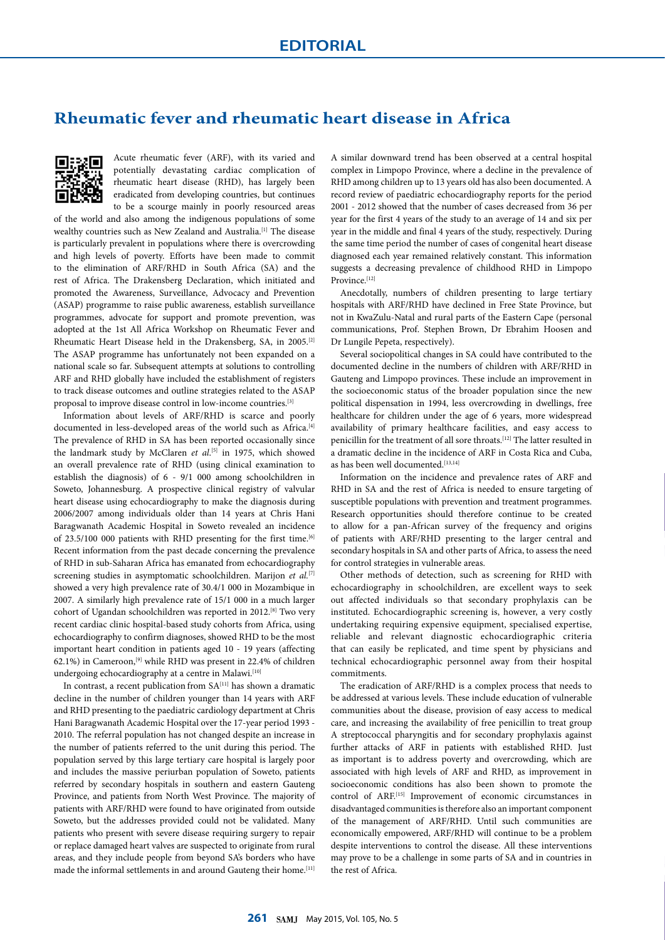## **Rheumatic fever and rheumatic heart disease in Africa**



Acute rheumatic fever (ARF), with its varied and potentially devastating cardiac complication of rheumatic heart disease (RHD), has largely been eradicated from developing countries, but continues to be a scourge mainly in poorly resourced areas

of the world and also among the indigenous populations of some wealthy countries such as New Zealand and Australia.[1] The disease is particularly prevalent in populations where there is overcrowding and high levels of poverty. Efforts have been made to commit to the elimination of ARF/RHD in South Africa (SA) and the rest of Africa. The Drakensberg Declaration, which initiated and promoted the Awareness, Surveillance, Advocacy and Prevention (ASAP) programme to raise public awareness, establish surveillance programmes, advocate for support and promote prevention, was adopted at the 1st All Africa Workshop on Rheumatic Fever and Rheumatic Heart Disease held in the Drakensberg, SA, in 2005.[2] The ASAP programme has unfortunately not been expanded on a national scale so far. Subsequent attempts at solutions to controlling ARF and RHD globally have included the establishment of registers to track disease outcomes and outline strategies related to the ASAP proposal to improve disease control in low-income countries.[3]

Information about levels of ARF/RHD is scarce and poorly documented in less-developed areas of the world such as Africa.<sup>[4]</sup> The prevalence of RHD in SA has been reported occasionally since the landmark study by McClaren *et al*. [5] in 1975, which showed an overall prevalence rate of RHD (using clinical examination to establish the diagnosis) of 6 - 9/1 000 among schoolchildren in Soweto, Johannesburg. A prospective clinical registry of valvular heart disease using echocardiography to make the diagnosis during 2006/2007 among individuals older than 14 years at Chris Hani Baragwanath Academic Hospital in Soweto revealed an incidence of 23.5/100 000 patients with RHD presenting for the first time.<sup>[6]</sup> Recent information from the past decade concerning the prevalence of RHD in sub-Saharan Africa has emanated from echocardiography screening studies in asymptomatic schoolchildren. Marijon *et al.*[7] showed a very high prevalence rate of 30.4/1 000 in Mozambique in 2007. A similarly high prevalence rate of 15/1 000 in a much larger cohort of Ugandan schoolchildren was reported in 2012.[8] Two very recent cardiac clinic hospital-based study cohorts from Africa, using echocardiography to confirm diagnoses, showed RHD to be the most important heart condition in patients aged 10 - 19 years (affecting 62.1%) in Cameroon,<sup>[9]</sup> while RHD was present in 22.4% of children undergoing echocardiography at a centre in Malawi.<sup>[10]</sup>

In contrast, a recent publication from SA<sup>[11]</sup> has shown a dramatic decline in the number of children younger than 14 years with ARF and RHD presenting to the paediatric cardiology department at Chris Hani Baragwanath Academic Hospital over the 17-year period 1993 - 2010. The referral population has not changed despite an increase in the number of patients referred to the unit during this period. The population served by this large tertiary care hospital is largely poor and includes the massive periurban population of Soweto, patients referred by secondary hospitals in southern and eastern Gauteng Province, and patients from North West Province. The majority of patients with ARF/RHD were found to have originated from outside Soweto, but the addresses provided could not be validated. Many patients who present with severe disease requiring surgery to repair or replace damaged heart valves are suspected to originate from rural areas, and they include people from beyond SA's borders who have made the informal settlements in and around Gauteng their home.[11]

A similar downward trend has been observed at a central hospital complex in Limpopo Province, where a decline in the prevalence of RHD among children up to 13 years old has also been documented. A record review of paediatric echocardiography reports for the period 2001 - 2012 showed that the number of cases decreased from 36 per year for the first 4 years of the study to an average of 14 and six per year in the middle and final 4 years of the study, respectively. During the same time period the number of cases of congenital heart disease diagnosed each year remained relatively constant. This information suggests a decreasing prevalence of childhood RHD in Limpopo Province.<sup>[12]</sup>

Anecdotally, numbers of children presenting to large tertiary hospitals with ARF/RHD have declined in Free State Province, but not in KwaZulu-Natal and rural parts of the Eastern Cape (personal communications, Prof. Stephen Brown, Dr Ebrahim Hoosen and Dr Lungile Pepeta, respectively).

Several sociopolitical changes in SA could have contributed to the documented decline in the numbers of children with ARF/RHD in Gauteng and Limpopo provinces. These include an improvement in the socioeconomic status of the broader population since the new political dispensation in 1994, less overcrowding in dwellings, free healthcare for children under the age of 6 years, more widespread availability of primary healthcare facilities, and easy access to penicillin for the treatment of all sore throats.<sup>[12]</sup> The latter resulted in a dramatic decline in the incidence of ARF in Costa Rica and Cuba, as has been well documented.<sup>[13,14]</sup>

Information on the incidence and prevalence rates of ARF and RHD in SA and the rest of Africa is needed to ensure targeting of susceptible populations with prevention and treatment programmes. Research opportunities should therefore continue to be created to allow for a pan-African survey of the frequency and origins of patients with ARF/RHD presenting to the larger central and secondary hospitals in SA and other parts of Africa, to assess the need for control strategies in vulnerable areas.

Other methods of detection, such as screening for RHD with echocardiography in schoolchildren, are excellent ways to seek out affected individuals so that secondary prophylaxis can be instituted. Echocardiographic screening is, however, a very costly undertaking requiring expensive equipment, specialised expertise, reliable and relevant diagnostic echocardiographic criteria that can easily be replicated, and time spent by physicians and technical echocardiographic personnel away from their hospital commitments.

The eradication of ARF/RHD is a complex process that needs to be addressed at various levels. These include education of vulnerable communities about the disease, provision of easy access to medical care, and increasing the availability of free penicillin to treat group A streptococcal pharyngitis and for secondary prophylaxis against further attacks of ARF in patients with established RHD. Just as important is to address poverty and overcrowding, which are associated with high levels of ARF and RHD, as improvement in socioeconomic conditions has also been shown to promote the control of ARF.[15] Improvement of economic circumstances in disadvantaged communities is therefore also an important component of the management of ARF/RHD. Until such communities are economically empowered, ARF/RHD will continue to be a problem despite interventions to control the disease. All these interventions may prove to be a challenge in some parts of SA and in countries in the rest of Africa.